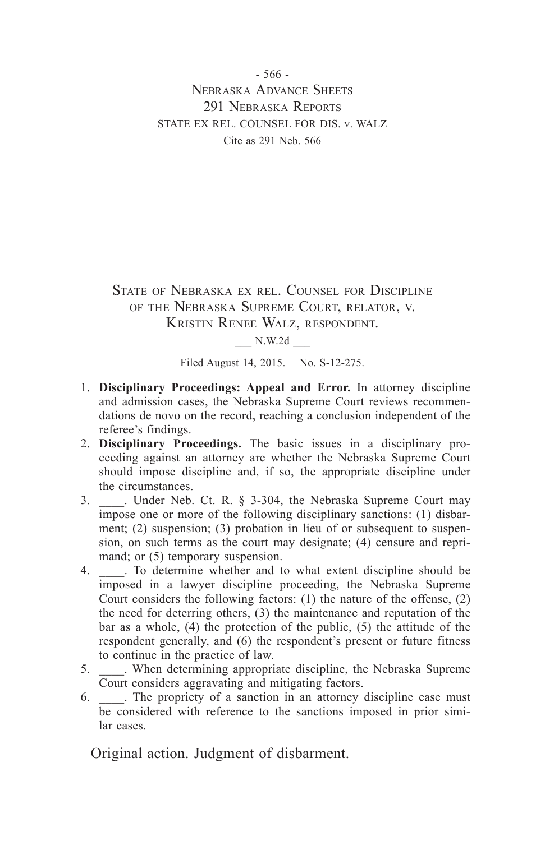- 566 - Nebraska Advance Sheets 291 NEBRASKA REPORTS STATE EX REL. COUNSEL FOR DIS. v. WALZ Cite as 291 Neb. 566

State of Nebraska ex rel. Counsel for Discipline of the Nebraska Supreme Court, relator, v. Kristin Renee Walz, respondent.

\_\_\_ N.W.2d \_\_\_

Filed August 14, 2015. No. S-12-275.

- 1. **Disciplinary Proceedings: Appeal and Error.** In attorney discipline and admission cases, the Nebraska Supreme Court reviews recommendations de novo on the record, reaching a conclusion independent of the referee's findings.
- 2. **Disciplinary Proceedings.** The basic issues in a disciplinary proceeding against an attorney are whether the Nebraska Supreme Court should impose discipline and, if so, the appropriate discipline under the circumstances.
- 3. Linder Neb. Ct. R. § 3-304, the Nebraska Supreme Court may impose one or more of the following disciplinary sanctions: (1) disbarment; (2) suspension; (3) probation in lieu of or subsequent to suspension, on such terms as the court may designate; (4) censure and reprimand; or (5) temporary suspension.
- 4. \_\_\_\_. To determine whether and to what extent discipline should be imposed in a lawyer discipline proceeding, the Nebraska Supreme Court considers the following factors: (1) the nature of the offense, (2) the need for deterring others, (3) the maintenance and reputation of the bar as a whole, (4) the protection of the public, (5) the attitude of the respondent generally, and (6) the respondent's present or future fitness to continue in the practice of law.
- 5. \_\_\_\_. When determining appropriate discipline, the Nebraska Supreme Court considers aggravating and mitigating factors.
- 6. \_\_\_\_. The propriety of a sanction in an attorney discipline case must be considered with reference to the sanctions imposed in prior similar cases.

Original action. Judgment of disbarment.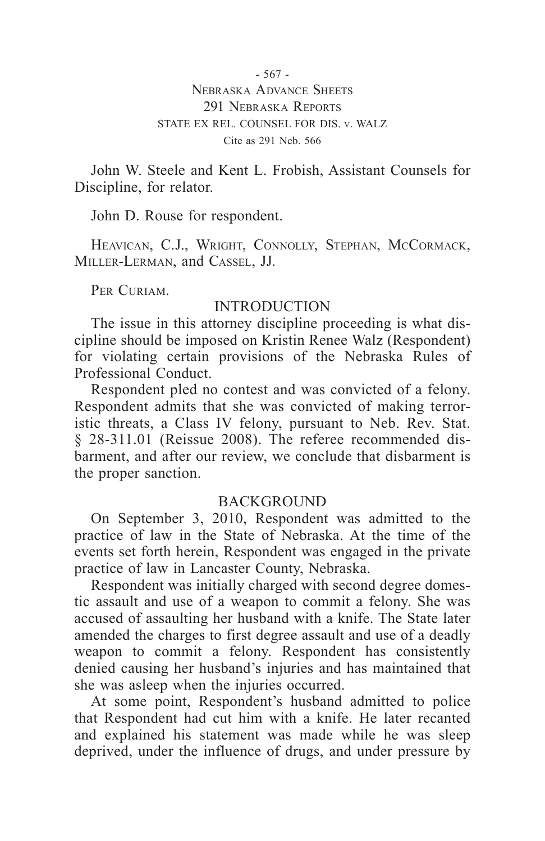- 567 - Nebraska Advance Sheets 291 NEBRASKA REPORTS STATE EX REL. COUNSEL FOR DIS. v. WALZ Cite as 291 Neb. 566

John W. Steele and Kent L. Frobish, Assistant Counsels for Discipline, for relator.

John D. Rouse for respondent.

HEAVICAN, C.J., WRIGHT, CONNOLLY, STEPHAN, MCCORMACK, Miller-Lerman, and Cassel, JJ.

PER CURIAM.

### **INTRODUCTION**

The issue in this attorney discipline proceeding is what discipline should be imposed on Kristin Renee Walz (Respondent) for violating certain provisions of the Nebraska Rules of Professional Conduct.

Respondent pled no contest and was convicted of a felony. Respondent admits that she was convicted of making terroristic threats, a Class IV felony, pursuant to Neb. Rev. Stat. § 28-311.01 (Reissue 2008). The referee recommended disbarment, and after our review, we conclude that disbarment is the proper sanction.

### **BACKGROUND**

On September 3, 2010, Respondent was admitted to the practice of law in the State of Nebraska. At the time of the events set forth herein, Respondent was engaged in the private practice of law in Lancaster County, Nebraska.

Respondent was initially charged with second degree domestic assault and use of a weapon to commit a felony. She was accused of assaulting her husband with a knife. The State later amended the charges to first degree assault and use of a deadly weapon to commit a felony. Respondent has consistently denied causing her husband's injuries and has maintained that she was asleep when the injuries occurred.

At some point, Respondent's husband admitted to police that Respondent had cut him with a knife. He later recanted and explained his statement was made while he was sleep deprived, under the influence of drugs, and under pressure by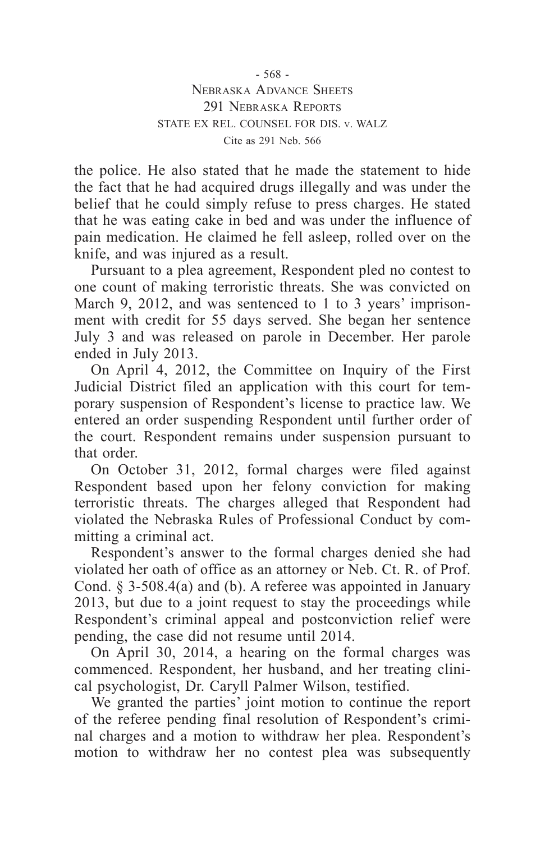- 568 - Nebraska Advance Sheets 291 NEBRASKA REPORTS STATE EX REL. COUNSEL FOR DIS. v. WALZ Cite as 291 Neb. 566

the police. He also stated that he made the statement to hide the fact that he had acquired drugs illegally and was under the belief that he could simply refuse to press charges. He stated that he was eating cake in bed and was under the influence of pain medication. He claimed he fell asleep, rolled over on the knife, and was injured as a result.

Pursuant to a plea agreement, Respondent pled no contest to one count of making terroristic threats. She was convicted on March 9, 2012, and was sentenced to 1 to 3 years' imprisonment with credit for 55 days served. She began her sentence July 3 and was released on parole in December. Her parole ended in July 2013.

On April 4, 2012, the Committee on Inquiry of the First Judicial District filed an application with this court for temporary suspension of Respondent's license to practice law. We entered an order suspending Respondent until further order of the court. Respondent remains under suspension pursuant to that order.

On October 31, 2012, formal charges were filed against Respondent based upon her felony conviction for making terroristic threats. The charges alleged that Respondent had violated the Nebraska Rules of Professional Conduct by committing a criminal act.

Respondent's answer to the formal charges denied she had violated her oath of office as an attorney or Neb. Ct. R. of Prof. Cond. § 3-508.4(a) and (b). A referee was appointed in January 2013, but due to a joint request to stay the proceedings while Respondent's criminal appeal and postconviction relief were pending, the case did not resume until 2014.

On April 30, 2014, a hearing on the formal charges was commenced. Respondent, her husband, and her treating clinical psychologist, Dr. Caryll Palmer Wilson, testified.

We granted the parties' joint motion to continue the report of the referee pending final resolution of Respondent's criminal charges and a motion to withdraw her plea. Respondent's motion to withdraw her no contest plea was subsequently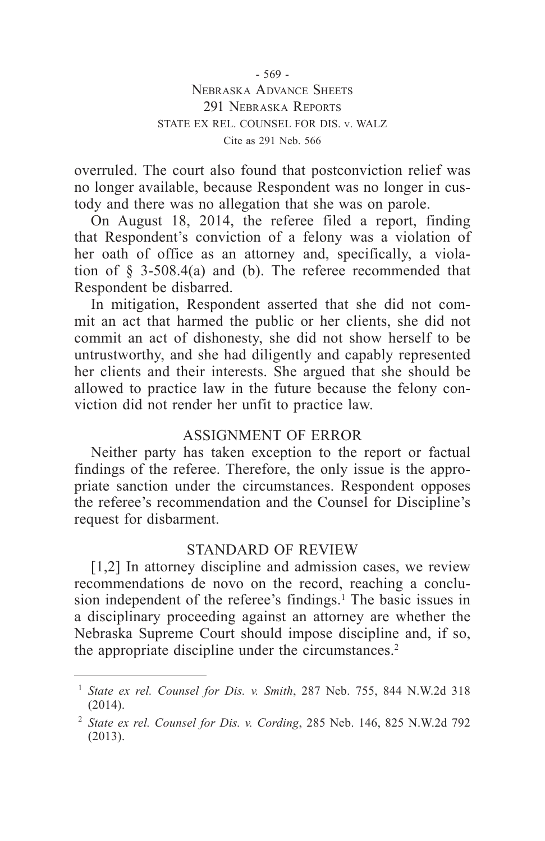- 569 - Nebraska Advance Sheets 291 NEBRASKA REPORTS STATE EX REL. COUNSEL FOR DIS. v. WALZ Cite as 291 Neb. 566

overruled. The court also found that postconviction relief was no longer available, because Respondent was no longer in custody and there was no allegation that she was on parole.

On August 18, 2014, the referee filed a report, finding that Respondent's conviction of a felony was a violation of her oath of office as an attorney and, specifically, a violation of § 3-508.4(a) and (b). The referee recommended that Respondent be disbarred.

In mitigation, Respondent asserted that she did not commit an act that harmed the public or her clients, she did not commit an act of dishonesty, she did not show herself to be untrustworthy, and she had diligently and capably represented her clients and their interests. She argued that she should be allowed to practice law in the future because the felony conviction did not render her unfit to practice law.

# ASSIGNMENT OF ERROR

Neither party has taken exception to the report or factual findings of the referee. Therefore, the only issue is the appropriate sanction under the circumstances. Respondent opposes the referee's recommendation and the Counsel for Discipline's request for disbarment.

# STANDARD OF REVIEW

[1,2] In attorney discipline and admission cases, we review recommendations de novo on the record, reaching a conclusion independent of the referee's findings.<sup>1</sup> The basic issues in a disciplinary proceeding against an attorney are whether the Nebraska Supreme Court should impose discipline and, if so, the appropriate discipline under the circumstances.<sup>2</sup>

<sup>1</sup> *State ex rel. Counsel for Dis. v. Smith*, 287 Neb. 755, 844 N.W.2d 318 (2014).

<sup>2</sup> *State ex rel. Counsel for Dis. v. Cording*, 285 Neb. 146, 825 N.W.2d 792 (2013).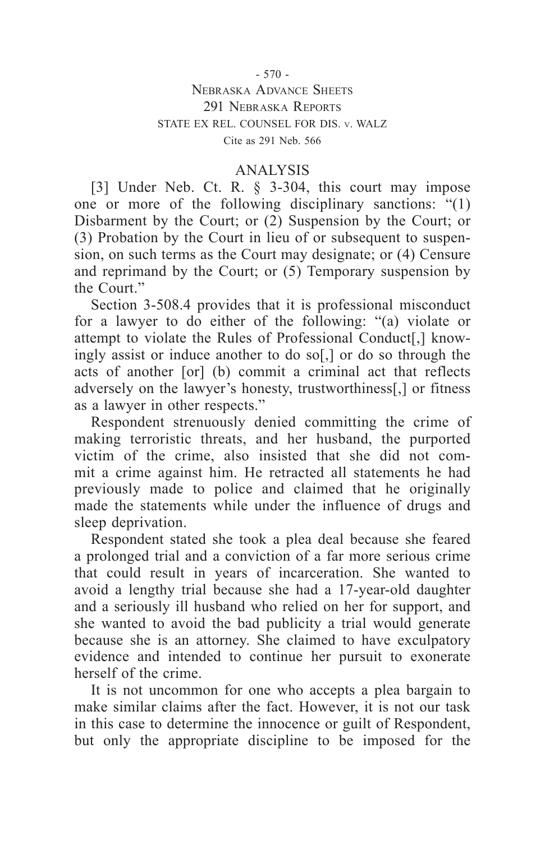#### - 570 -

### Nebraska Advance Sheets 291 NEBRASKA REPORTS STATE EX REL. COUNSEL FOR DIS. v. WALZ Cite as 291 Neb. 566

## ANALYSIS

[3] Under Neb. Ct. R. § 3-304, this court may impose one or more of the following disciplinary sanctions: "(1) Disbarment by the Court; or (2) Suspension by the Court; or (3) Probation by the Court in lieu of or subsequent to suspension, on such terms as the Court may designate; or (4) Censure and reprimand by the Court; or (5) Temporary suspension by the Court."

Section 3-508.4 provides that it is professional misconduct for a lawyer to do either of the following: "(a) violate or attempt to violate the Rules of Professional Conduct[,] knowingly assist or induce another to do so[,] or do so through the acts of another [or] (b) commit a criminal act that reflects adversely on the lawyer's honesty, trustworthiness[,] or fitness as a lawyer in other respects."

Respondent strenuously denied committing the crime of making terroristic threats, and her husband, the purported victim of the crime, also insisted that she did not commit a crime against him. He retracted all statements he had previously made to police and claimed that he originally made the statements while under the influence of drugs and sleep deprivation.

Respondent stated she took a plea deal because she feared a prolonged trial and a conviction of a far more serious crime that could result in years of incarceration. She wanted to avoid a lengthy trial because she had a 17-year-old daughter and a seriously ill husband who relied on her for support, and she wanted to avoid the bad publicity a trial would generate because she is an attorney. She claimed to have exculpatory evidence and intended to continue her pursuit to exonerate herself of the crime.

It is not uncommon for one who accepts a plea bargain to make similar claims after the fact. However, it is not our task in this case to determine the innocence or guilt of Respondent, but only the appropriate discipline to be imposed for the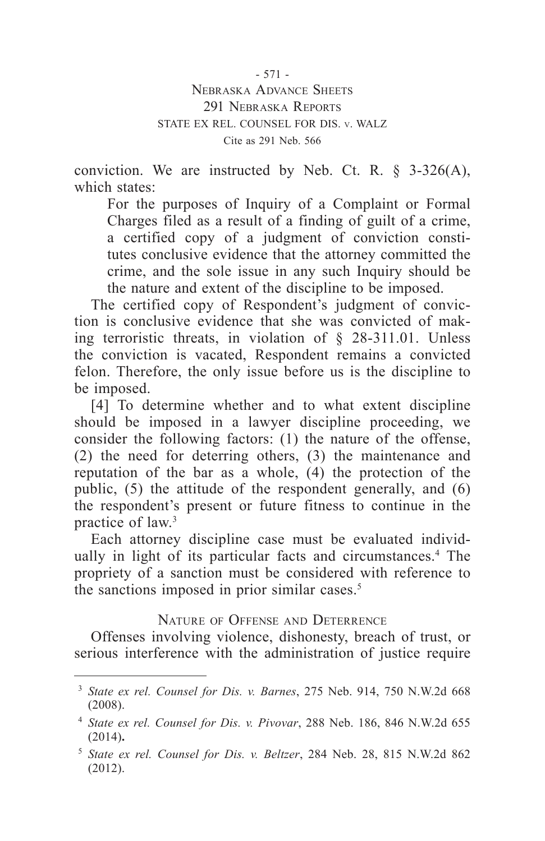- 571 -

Nebraska Advance Sheets 291 NEBRASKA REPORTS STATE EX REL. COUNSEL FOR DIS. v. WALZ Cite as 291 Neb. 566

conviction. We are instructed by Neb. Ct. R.  $\S$  3-326(A), which states:

For the purposes of Inquiry of a Complaint or Formal Charges filed as a result of a finding of guilt of a crime, a certified copy of a judgment of conviction constitutes conclusive evidence that the attorney committed the crime, and the sole issue in any such Inquiry should be the nature and extent of the discipline to be imposed.

The certified copy of Respondent's judgment of conviction is conclusive evidence that she was convicted of making terroristic threats, in violation of § 28-311.01. Unless the conviction is vacated, Respondent remains a convicted felon. Therefore, the only issue before us is the discipline to be imposed.

[4] To determine whether and to what extent discipline should be imposed in a lawyer discipline proceeding, we consider the following factors: (1) the nature of the offense, (2) the need for deterring others, (3) the maintenance and reputation of the bar as a whole, (4) the protection of the public, (5) the attitude of the respondent generally, and (6) the respondent's present or future fitness to continue in the practice of law.3

Each attorney discipline case must be evaluated individually in light of its particular facts and circumstances.<sup>4</sup> The propriety of a sanction must be considered with reference to the sanctions imposed in prior similar cases.<sup>5</sup>

Nature of Offense and Deterrence

Offenses involving violence, dishonesty, breach of trust, or serious interference with the administration of justice require

<sup>3</sup> *State ex rel. Counsel for Dis. v. Barnes*, 275 Neb. 914, 750 N.W.2d 668 (2008).

<sup>4</sup> *State ex rel. Counsel for Dis. v. Pivovar*, 288 Neb. 186, 846 N.W.2d 655 (2014)**.**

<sup>5</sup> *State ex rel. Counsel for Dis. v. Beltzer*, 284 Neb. 28, 815 N.W.2d 862 (2012).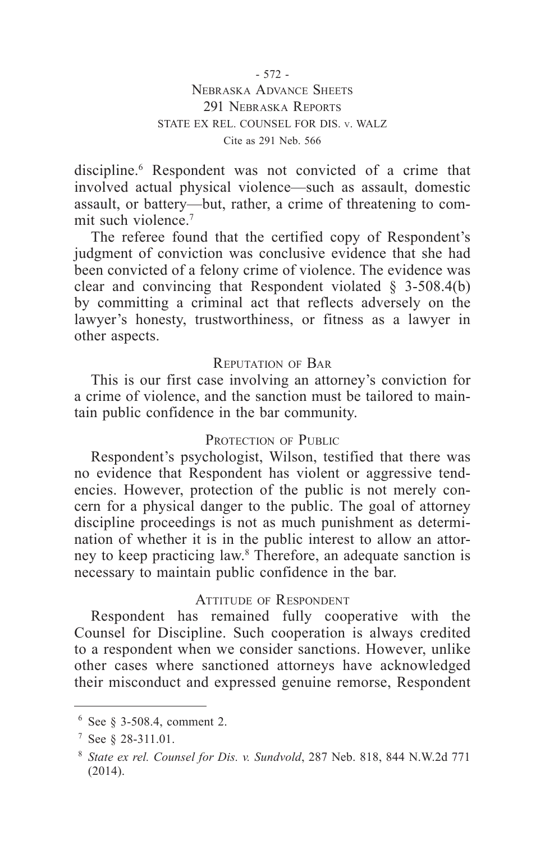- 572 - Nebraska Advance Sheets 291 NEBRASKA REPORTS STATE EX REL. COUNSEL FOR DIS. v. WALZ Cite as 291 Neb. 566

discipline.<sup>6</sup> Respondent was not convicted of a crime that involved actual physical violence—such as assault, domestic assault, or battery—but, rather, a crime of threatening to commit such violence.<sup>7</sup>

The referee found that the certified copy of Respondent's judgment of conviction was conclusive evidence that she had been convicted of a felony crime of violence. The evidence was clear and convincing that Respondent violated  $\S$  3-508.4(b) by committing a criminal act that reflects adversely on the lawyer's honesty, trustworthiness, or fitness as a lawyer in other aspects.

### Reputation of Bar

This is our first case involving an attorney's conviction for a crime of violence, and the sanction must be tailored to maintain public confidence in the bar community.

### PROTECTION OF PUBLIC

Respondent's psychologist, Wilson, testified that there was no evidence that Respondent has violent or aggressive tendencies. However, protection of the public is not merely concern for a physical danger to the public. The goal of attorney discipline proceedings is not as much punishment as determination of whether it is in the public interest to allow an attorney to keep practicing law.8 Therefore, an adequate sanction is necessary to maintain public confidence in the bar.

#### Attitude of Respondent

Respondent has remained fully cooperative with the Counsel for Discipline. Such cooperation is always credited to a respondent when we consider sanctions. However, unlike other cases where sanctioned attorneys have acknowledged their misconduct and expressed genuine remorse, Respondent

<sup>6</sup> See § 3-508.4, comment 2.

<sup>7</sup> See § 28-311.01.

<sup>8</sup> *State ex rel. Counsel for Dis. v. Sundvold*, 287 Neb. 818, 844 N.W.2d 771 (2014).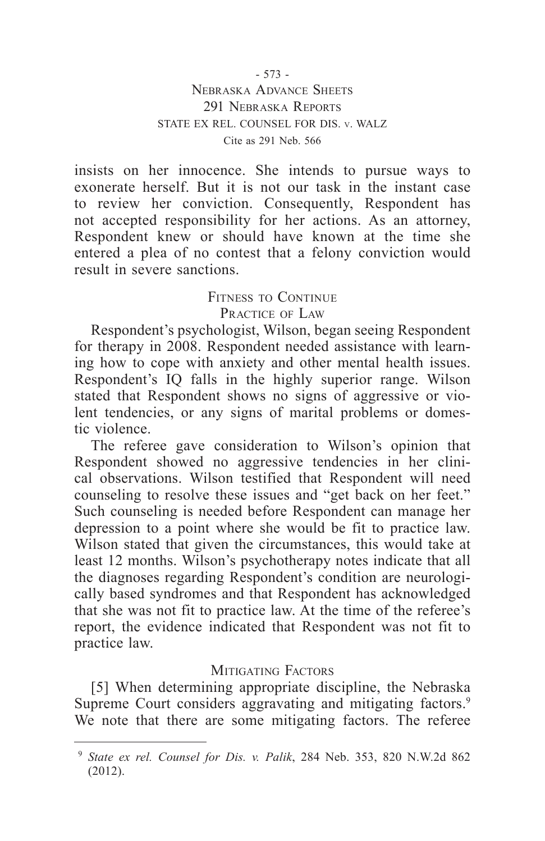insists on her innocence. She intends to pursue ways to exonerate herself. But it is not our task in the instant case to review her conviction. Consequently, Respondent has not accepted responsibility for her actions. As an attorney, Respondent knew or should have known at the time she entered a plea of no contest that a felony conviction would result in severe sanctions.

# Fitness to Continue PRACTICE OF LAW

Respondent's psychologist, Wilson, began seeing Respondent for therapy in 2008. Respondent needed assistance with learning how to cope with anxiety and other mental health issues. Respondent's IQ falls in the highly superior range. Wilson stated that Respondent shows no signs of aggressive or violent tendencies, or any signs of marital problems or domestic violence.

The referee gave consideration to Wilson's opinion that Respondent showed no aggressive tendencies in her clinical observations. Wilson testified that Respondent will need counseling to resolve these issues and "get back on her feet." Such counseling is needed before Respondent can manage her depression to a point where she would be fit to practice law. Wilson stated that given the circumstances, this would take at least 12 months. Wilson's psychotherapy notes indicate that all the diagnoses regarding Respondent's condition are neurologically based syndromes and that Respondent has acknowledged that she was not fit to practice law. At the time of the referee's report, the evidence indicated that Respondent was not fit to practice law.

# MITIGATING FACTORS

[5] When determining appropriate discipline, the Nebraska Supreme Court considers aggravating and mitigating factors.<sup>9</sup> We note that there are some mitigating factors. The referee

<sup>9</sup> *State ex rel. Counsel for Dis. v. Palik*, 284 Neb. 353, 820 N.W.2d 862 (2012).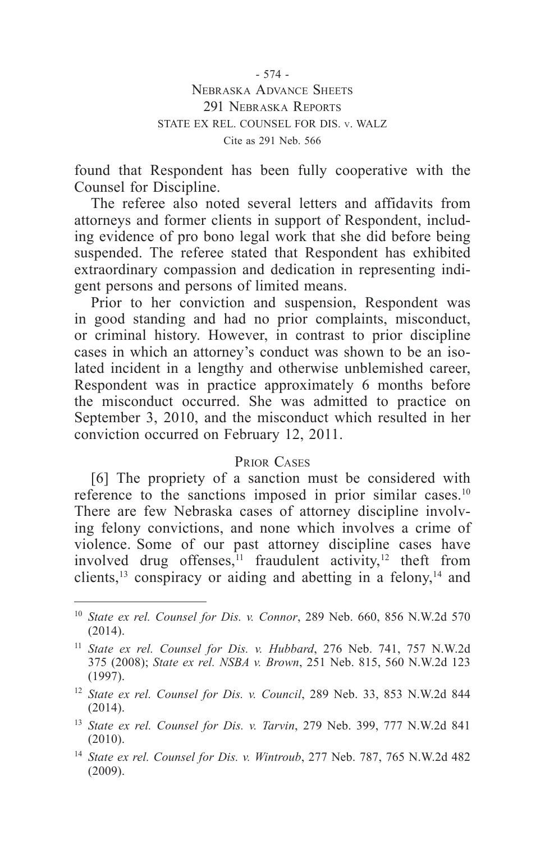- 574 - Nebraska Advance Sheets 291 NEBRASKA REPORTS STATE EX REL. COUNSEL FOR DIS. v. WALZ Cite as 291 Neb. 566

found that Respondent has been fully cooperative with the Counsel for Discipline.

The referee also noted several letters and affidavits from attorneys and former clients in support of Respondent, including evidence of pro bono legal work that she did before being suspended. The referee stated that Respondent has exhibited extraordinary compassion and dedication in representing indigent persons and persons of limited means.

Prior to her conviction and suspension, Respondent was in good standing and had no prior complaints, misconduct, or criminal history. However, in contrast to prior discipline cases in which an attorney's conduct was shown to be an isolated incident in a lengthy and otherwise unblemished career, Respondent was in practice approximately 6 months before the misconduct occurred. She was admitted to practice on September 3, 2010, and the misconduct which resulted in her conviction occurred on February 12, 2011.

#### Prior Cases

[6] The propriety of a sanction must be considered with reference to the sanctions imposed in prior similar cases.<sup>10</sup> There are few Nebraska cases of attorney discipline involving felony convictions, and none which involves a crime of violence. Some of our past attorney discipline cases have involved drug offenses, $11$  fraudulent activity, $12$  theft from clients,<sup>13</sup> conspiracy or aiding and abetting in a felony, $14$  and

<sup>10</sup> *State ex rel. Counsel for Dis. v. Connor*, 289 Neb. 660, 856 N.W.2d 570 (2014).

<sup>11</sup> *State ex rel. Counsel for Dis. v. Hubbard*, 276 Neb. 741, 757 N.W.2d 375 (2008); *State ex rel. NSBA v. Brown*, 251 Neb. 815, 560 N.W.2d 123 (1997).

<sup>12</sup> *State ex rel. Counsel for Dis. v. Council*, 289 Neb. 33, 853 N.W.2d 844 (2014).

<sup>13</sup> *State ex rel. Counsel for Dis. v. Tarvin*, 279 Neb. 399, 777 N.W.2d 841 (2010).

<sup>14</sup> *State ex rel. Counsel for Dis. v. Wintroub*, 277 Neb. 787, 765 N.W.2d 482 (2009).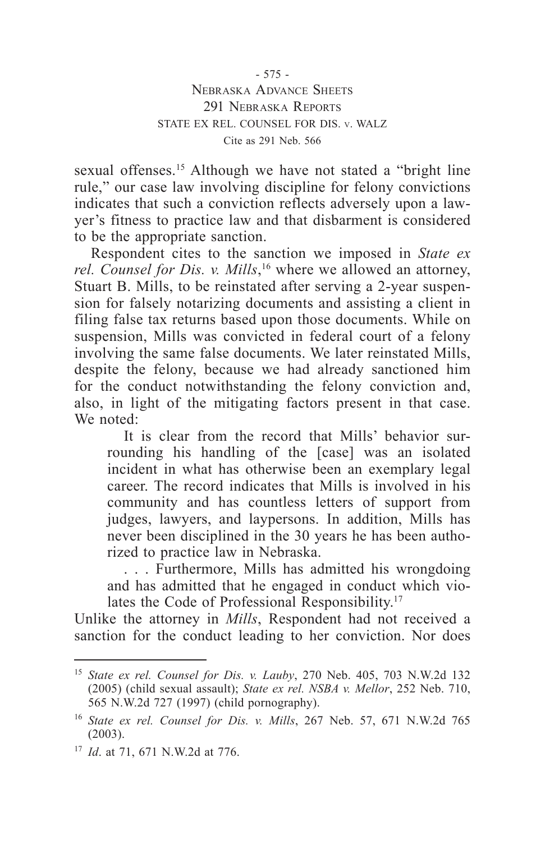sexual offenses.<sup>15</sup> Although we have not stated a "bright line rule," our case law involving discipline for felony convictions indicates that such a conviction reflects adversely upon a lawyer's fitness to practice law and that disbarment is considered to be the appropriate sanction.

Respondent cites to the sanction we imposed in *State ex rel. Counsel for Dis. v. Mills*, 16 where we allowed an attorney, Stuart B. Mills, to be reinstated after serving a 2-year suspension for falsely notarizing documents and assisting a client in filing false tax returns based upon those documents. While on suspension, Mills was convicted in federal court of a felony involving the same false documents. We later reinstated Mills, despite the felony, because we had already sanctioned him for the conduct notwithstanding the felony conviction and, also, in light of the mitigating factors present in that case. We noted:

It is clear from the record that Mills' behavior surrounding his handling of the [case] was an isolated incident in what has otherwise been an exemplary legal career. The record indicates that Mills is involved in his community and has countless letters of support from judges, lawyers, and laypersons. In addition, Mills has never been disciplined in the 30 years he has been authorized to practice law in Nebraska.

. . . Furthermore, Mills has admitted his wrongdoing and has admitted that he engaged in conduct which violates the Code of Professional Responsibility.<sup>17</sup>

Unlike the attorney in *Mills*, Respondent had not received a sanction for the conduct leading to her conviction. Nor does

<sup>15</sup> *State ex rel. Counsel for Dis. v. Lauby*, 270 Neb. 405, 703 N.W.2d 132 (2005) (child sexual assault); *State ex rel. NSBA v. Mellor*, 252 Neb. 710, 565 N.W.2d 727 (1997) (child pornography).

<sup>16</sup> *State ex rel. Counsel for Dis. v. Mills*, 267 Neb. 57, 671 N.W.2d 765 (2003).

<sup>17</sup> *Id*. at 71, 671 N.W.2d at 776.